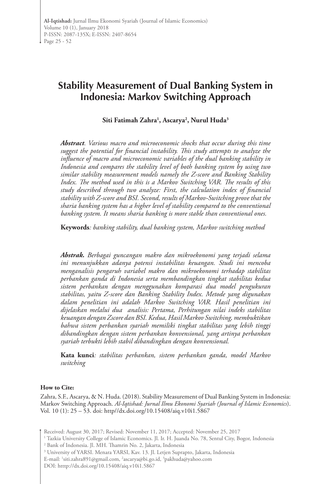# **Stability Measurement of Dual Banking System in Indonesia: Markov Switching Approach**

**Siti Fatimah Zahra1 , Ascarya2 , Nurul Huda3**

*Abstract. Various macro and microeconomic shocks that occur during this time suggest the potential for financial instability. This study attempts to analyze the influence of macro and microeconomic variables of the dual banking stability in Indonesia and compares the stability level of both banking system by using two similar stability measurement models namely the Z-score and Banking Stability Index. The method used in this is a Markov Switching VAR. The results of this study described through two analyze: First, the calculation index of financial stability with Z-score and BSI. Second, results of Markov-Switching prove that the sharia banking system has a higher level of stability compared to the conventional banking system. It means sharia banking is more stable than conventional ones.*

**Keywords***: banking stability, dual banking system, Markov switching method*

*Abstrak. Berbagai guncangan makro dan mikroekonomi yang terjadi selama ini menunjukkan adanya potensi instabilitas keuangan. Studi ini mencoba menganalisis pengaruh variabel makro dan mikroekonomi terhadap stabilitas perbankan ganda di Indonesia serta membandingkan tingkat stabilitas kedua sistem perbankan dengan menggunakan komparasi dua model pengukuran stabilitas, yaitu Z-score dan Banking Stability Index. Metode yang digunakan dalam penelitian ini adalah Markov Switching VAR. Hasil penelitian ini dijelaskan melalui dua analisis: Pertama, Perhitungan nilai indeks stabilitas keuangan dengan Zscore dan BSI. Kedua, Hasil Markov Switching, membuktikan bahwa sistem perbankan syariah memiliki tingkat stabilitas yang lebih tinggi dibandingkan dengan sistem perbankan konvensional, yang artinya perbankan syariah terbukti lebih stabil dibandingkan dengan konvensional.*

**Kata kunci***: stabilitas perbankan, sistem perbankan ganda, model Markov switching*

#### **How to Cite:**

Zahra, S.F., Ascarya, & N. Huda. (2018). Stability Measurement of Dual Banking System in Indonesia: Markov Switching Approach. *Al-Iqtishad: Jurnal Ilmu Ekonomi Syariah (Journal of Islamic Economics*). Vol. 10 (1): 25 – 53. doi: http//dx.doi.org/10.15408/aiq.v10i1.5867

Received: August 30, 2017; Revised: November 11, 2017; Accepted: November 25, 2017

1 Tazkia University College of Islamic Economics. Jl. Ir. H. Juanda No. 78, Sentul City, Bogor, Indonesia

2 Bank of Indonesia. Jl. MH. Thamrin No. 2, Jakarta, Indonesia

<sup>3</sup> University of YARSI. Menara YARSI, Kav. 13. Jl. Letjen Suprapto, Jakarta, Indonesia

E-mail: 1 siti.zahra891@gmail.com, 2 ascarya@bi.go.id, 3 pakhuda@yahoo.com

DOI: htttp://dx.doi.org/10.15408/aiq.v10i1.5867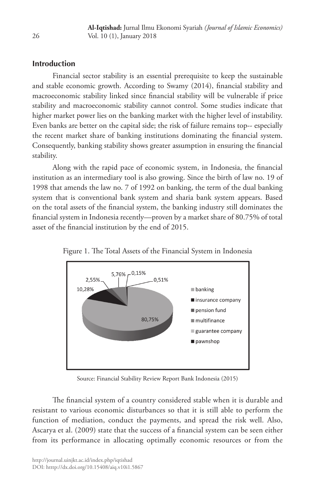# **Introduction**

Financial sector stability is an essential prerequisite to keep the sustainable and stable economic growth. According to Swamy (2014), financial stability and macroeconomic stability linked since financial stability will be vulnerable if price stability and macroeconomic stability cannot control. Some studies indicate that higher market power lies on the banking market with the higher level of instability. Even banks are better on the capital side; the risk of failure remains top-- especially the recent market share of banking institutions dominating the financial system. Consequently, banking stability shows greater assumption in ensuring the financial stability.

Along with the rapid pace of economic system, in Indonesia, the financial institution as an intermediary tool is also growing. Since the birth of law no. 19 of 1998 that amends the law no. 7 of 1992 on banking, the term of the dual banking system that is conventional bank system and sharia bank system appears. Based on the total assets of the financial system, the banking industry still dominates the financial system in Indonesia recently—proven by a market share of 80.75% of total asset of the financial institution by the end of 2015.



Figure 1. The Total Assets of the Financial System in Indonesia

Source: Financial Stability Review Report Bank Indonesia (2015)

The financial system of a country considered stable when it is durable and resistant to various economic disturbances so that it is still able to perform the function of mediation, conduct the payments, and spread the risk well. Also, Ascarya et al. (2009) state that the success of a financial system can be seen either from its performance in allocating optimally economic resources or from the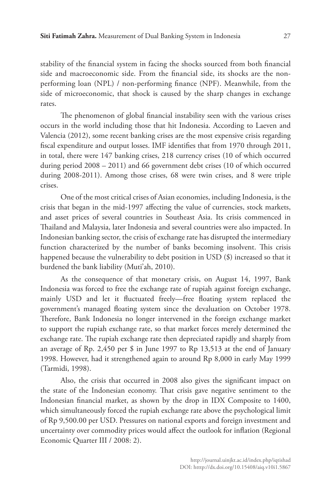stability of the financial system in facing the shocks sourced from both financial side and macroeconomic side. From the financial side, its shocks are the nonperforming loan (NPL) / non-performing finance (NPF). Meanwhile, from the side of microeconomic, that shock is caused by the sharp changes in exchange rates.

The phenomenon of global financial instability seen with the various crises occurs in the world including those that hit Indonesia. According to Laeven and Valencia (2012), some recent banking crises are the most expensive crisis regarding fiscal expenditure and output losses. IMF identifies that from 1970 through 2011, in total, there were 147 banking crises, 218 currency crises (10 of which occurred during period 2008 – 2011) and 66 government debt crises (10 of which occurred during 2008-2011). Among those crises, 68 were twin crises, and 8 were triple crises.

One of the most critical crises of Asian economies, including Indonesia, is the crisis that began in the mid-1997 affecting the value of currencies, stock markets, and asset prices of several countries in Southeast Asia. Its crisis commenced in Thailand and Malaysia, later Indonesia and several countries were also impacted. In Indonesian banking sector, the crisis of exchange rate has disrupted the intermediary function characterized by the number of banks becoming insolvent. This crisis happened because the vulnerability to debt position in USD (\$) increased so that it burdened the bank liability (Muti'ah, 2010).

As the consequence of that monetary crisis, on August 14, 1997, Bank Indonesia was forced to free the exchange rate of rupiah against foreign exchange, mainly USD and let it fluctuated freely—free floating system replaced the government's managed floating system since the devaluation on October 1978. Therefore, Bank Indonesia no longer intervened in the foreign exchange market to support the rupiah exchange rate, so that market forces merely determined the exchange rate. The rupiah exchange rate then depreciated rapidly and sharply from an average of Rp. 2,450 per \$ in June 1997 to Rp 13,513 at the end of January 1998. However, had it strengthened again to around Rp 8,000 in early May 1999 (Tarmidi, 1998).

Also, the crisis that occurred in 2008 also gives the significant impact on the state of the Indonesian economy. That crisis gave negative sentiment to the Indonesian financial market, as shown by the drop in IDX Composite to 1400, which simultaneously forced the rupiah exchange rate above the psychological limit of Rp 9,500.00 per USD. Pressures on national exports and foreign investment and uncertainty over commodity prices would affect the outlook for inflation (Regional Economic Quarter III / 2008: 2).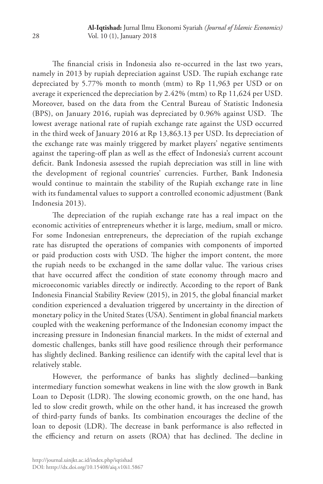The financial crisis in Indonesia also re-occurred in the last two years, namely in 2013 by rupiah depreciation against USD. The rupiah exchange rate depreciated by 5.77% month to month (mtm) to Rp 11,963 per USD or on average it experienced the depreciation by 2.42% (mtm) to Rp 11,624 per USD. Moreover, based on the data from the Central Bureau of Statistic Indonesia (BPS), on January 2016, rupiah was depreciated by 0.96% against USD. The lowest average national rate of rupiah exchange rate against the USD occurred in the third week of January 2016 at Rp 13,863.13 per USD. Its depreciation of the exchange rate was mainly triggered by market players' negative sentiments against the tapering-off plan as well as the effect of Indonesia's current account deficit. Bank Indonesia assessed the rupiah depreciation was still in line with the development of regional countries' currencies. Further, Bank Indonesia would continue to maintain the stability of the Rupiah exchange rate in line with its fundamental values to support a controlled economic adjustment (Bank Indonesia 2013).

The depreciation of the rupiah exchange rate has a real impact on the economic activities of entrepreneurs whether it is large, medium, small or micro. For some Indonesian entrepreneurs, the depreciation of the rupiah exchange rate has disrupted the operations of companies with components of imported or paid production costs with USD. The higher the import content, the more the rupiah needs to be exchanged in the same dollar value. The various crises that have occurred affect the condition of state economy through macro and microeconomic variables directly or indirectly. According to the report of Bank Indonesia Financial Stability Review (2015), in 2015, the global financial market condition experienced a devaluation triggered by uncertainty in the direction of monetary policy in the United States (USA). Sentiment in global financial markets coupled with the weakening performance of the Indonesian economy impact the increasing pressure in Indonesian financial markets. In the midst of external and domestic challenges, banks still have good resilience through their performance has slightly declined. Banking resilience can identify with the capital level that is relatively stable.

However, the performance of banks has slightly declined—banking intermediary function somewhat weakens in line with the slow growth in Bank Loan to Deposit (LDR). The slowing economic growth, on the one hand, has led to slow credit growth, while on the other hand, it has increased the growth of third-party funds of banks. Its combination encourages the decline of the loan to deposit (LDR). The decrease in bank performance is also reflected in the efficiency and return on assets (ROA) that has declined. The decline in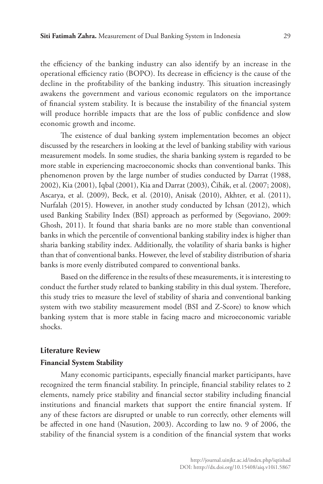the efficiency of the banking industry can also identify by an increase in the operational efficiency ratio (BOPO). Its decrease in efficiency is the cause of the decline in the profitability of the banking industry. This situation increasingly awakens the government and various economic regulators on the importance of financial system stability. It is because the instability of the financial system will produce horrible impacts that are the loss of public confidence and slow economic growth and income.

The existence of dual banking system implementation becomes an object discussed by the researchers in looking at the level of banking stability with various measurement models. In some studies, the sharia banking system is regarded to be more stable in experiencing macroeconomic shocks than conventional banks. This phenomenon proven by the large number of studies conducted by Darrat (1988, 2002), Kia (2001), Iqbal (2001), Kia and Darrat (2003), Čihák, et al. (2007; 2008), Ascarya, et al. (2009), Beck, et al. (2010), Anisak (2010), Akhter, et al. (2011), Nurfalah (2015). However, in another study conducted by Ichsan (2012), which used Banking Stability Index (BSI) approach as performed by (Segoviano, 2009: Ghosh, 2011). It found that sharia banks are no more stable than conventional banks in which the percentile of conventional banking stability index is higher than sharia banking stability index. Additionally, the volatility of sharia banks is higher than that of conventional banks. However, the level of stability distribution of sharia banks is more evenly distributed compared to conventional banks.

Based on the difference in the results of these measurements, it is interesting to conduct the further study related to banking stability in this dual system. Therefore, this study tries to measure the level of stability of sharia and conventional banking system with two stability measurement model (BSI and Z-Score) to know which banking system that is more stable in facing macro and microeconomic variable shocks.

## **Literature Review**

#### **Financial System Stability**

Many economic participants, especially financial market participants, have recognized the term financial stability. In principle, financial stability relates to 2 elements, namely price stability and financial sector stability including financial institutions and financial markets that support the entire financial system. If any of these factors are disrupted or unable to run correctly, other elements will be affected in one hand (Nasution, 2003). According to law no. 9 of 2006, the stability of the financial system is a condition of the financial system that works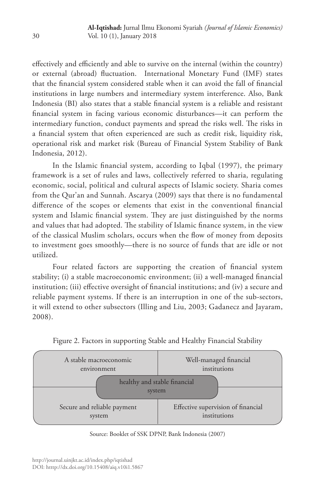effectively and efficiently and able to survive on the internal (within the country) or external (abroad) fluctuation. International Monetary Fund (IMF) states that the financial system considered stable when it can avoid the fall of financial institutions in large numbers and intermediary system interference. Also, Bank Indonesia (BI) also states that a stable financial system is a reliable and resistant financial system in facing various economic disturbances—it can perform the intermediary function, conduct payments and spread the risks well. The risks in a financial system that often experienced are such as credit risk, liquidity risk, operational risk and market risk (Bureau of Financial System Stability of Bank Indonesia, 2012).

In the Islamic financial system, according to Iqbal (1997), the primary framework is a set of rules and laws, collectively referred to sharia, regulating economic, social, political and cultural aspects of Islamic society. Sharia comes from the Qur'an and Sunnah. Ascarya (2009) says that there is no fundamental difference of the scopes or elements that exist in the conventional financial system and Islamic financial system. They are just distinguished by the norms and values that had adopted. The stability of Islamic finance system, in the view of the classical Muslim scholars, occurs when the flow of money from deposits to investment goes smoothly—there is no source of funds that are idle or not utilized.

Four related factors are supporting the creation of financial system stability; (i) a stable macroeconomic environment; (ii) a well-managed financial institution; (iii) effective oversight of financial institutions; and (iv) a secure and reliable payment systems. If there is an interruption in one of the sub-sectors, it will extend to other subsectors (Illing and Liu, 2003; Gadanecz and Jayaram, 2008).



Figure 2. Factors in supporting Stable and Healthy Financial Stability

Source: Booklet of SSK DPNP, Bank Indonesia (2007)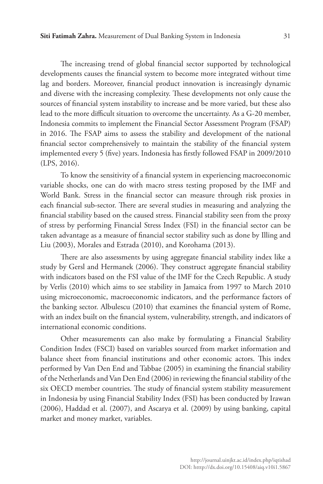The increasing trend of global financial sector supported by technological developments causes the financial system to become more integrated without time lag and borders. Moreover, financial product innovation is increasingly dynamic and diverse with the increasing complexity. These developments not only cause the sources of financial system instability to increase and be more varied, but these also lead to the more difficult situation to overcome the uncertainty. As a G-20 member, Indonesia commits to implement the Financial Sector Assessment Program (FSAP) in 2016. The FSAP aims to assess the stability and development of the national financial sector comprehensively to maintain the stability of the financial system implemented every 5 (five) years. Indonesia has firstly followed FSAP in 2009/2010 (LPS, 2016).

To know the sensitivity of a financial system in experiencing macroeconomic variable shocks, one can do with macro stress testing proposed by the IMF and World Bank. Stress in the financial sector can measure through risk proxies in each financial sub-sector. There are several studies in measuring and analyzing the financial stability based on the caused stress. Financial stability seen from the proxy of stress by performing Financial Stress Index (FSI) in the financial sector can be taken advantage as a measure of financial sector stability such as done by Illing and Liu (2003), Morales and Estrada (2010), and Korohama (2013).

There are also assessments by using aggregate financial stability index like a study by Gersl and Hermanek (2006). They construct aggregate financial stability with indicators based on the FSI value of the IMF for the Czech Republic. A study by Verlis (2010) which aims to see stability in Jamaica from 1997 to March 2010 using microeconomic, macroeconomic indicators, and the performance factors of the banking sector. Albulescu (2010) that examines the financial system of Rome, with an index built on the financial system, vulnerability, strength, and indicators of international economic conditions.

Other measurements can also make by formulating a Financial Stability Condition Index (FSCI) based on variables sourced from market information and balance sheet from financial institutions and other economic actors. This index performed by Van Den End and Tabbae (2005) in examining the financial stability of the Netherlands and Van Den End (2006) in reviewing the financial stability of the six OECD member countries. The study of financial system stability measurement in Indonesia by using Financial Stability Index (FSI) has been conducted by Irawan (2006), Haddad et al. (2007), and Ascarya et al. (2009) by using banking, capital market and money market, variables.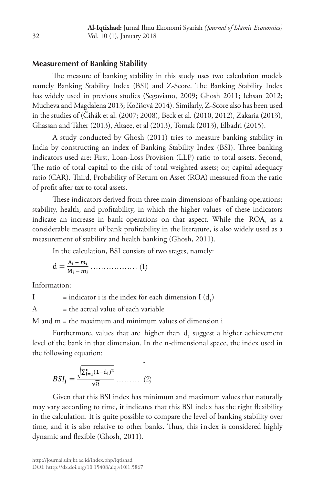# **Measurement of Banking Stability**

The measure of banking stability in this study uses two calculation models namely Banking Stability Index (BSI) and Z-Score. The Banking Stability Index has widely used in previous studies (Segoviano, 2009; Ghosh 2011; Ichsan 2012; Mucheva and Magdalena 2013; Kočišová 2014). Similarly, Z-Score also has been used in the studies of (Čihák et al. (2007; 2008), Beck et al. (2010, 2012), Zakaria (2013), Ghassan and Taher (2013), Altaee, et al (2013), Tomak (2013), Elbadri (2015).

A study conducted by Ghosh (2011) tries to measure banking stability in India by constructing an index of Banking Stability Index (BSI). Three banking indicators used are: First, Loan-Loss Provision (LLP) ratio to total assets. Second, The ratio of total capital to the risk of total weighted assets; or; capital adequacy ratio (CAR). Third, Probability of Return on Asset (ROA) measured from the ratio of profit after tax to total assets.

These indicators derived from three main dimensions of banking operations: stability, health, and profitability, in which the higher values of these indicators indicate an increase in bank operations on that aspect. While the ROA, as a considerable measure of bank profitability in the literature, is also widely used as a measurement of stability and health banking (Ghosh, 2011).

In the calculation, BSI consists of two stages, namely:

$$
d = \frac{A_i - m_i}{M_i - m_i} \dots \dots \dots \dots \dots \tag{1}
$$

Information:

I = indicator i is the index for each dimension I  $(d_1)$ 

 $A =$  the actual value of each variable

 $M$  and  $m$  = the maximum and minimum values of dimension  $i$ 

Furthermore, values that are higher than  $d_i$  suggest a higher achievement level of the bank in that dimension. In the n-dimensional space, the index used in the following equation:

$$
BSI_j = \frac{\sqrt{\sum_{i=1}^{n} (1 - d_i)^2}}{\sqrt{n}} \dots \dots \dots (2)
$$

Given that this BSI index has minimum and maximum values that naturally may vary according to time, it indicates that this BSI index has the right flexibility in the calculation. It is quite possible to compare the level of banking stability over time, and it is also relative to other banks. Thus, this index is considered highly dynamic and flexible (Ghosh, 2011).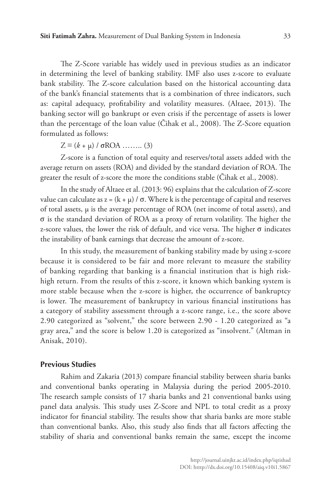The Z-Score variable has widely used in previous studies as an indicator in determining the level of banking stability. IMF also uses z-score to evaluate bank stability. The Z-score calculation based on the historical accounting data of the bank's financial statements that is a combination of three indicators, such as: capital adequacy, profitability and volatility measures. (Altaee, 2013). The banking sector will go bankrupt or even crisis if the percentage of assets is lower than the percentage of the loan value (Čihak et al., 2008). The Z-Score equation formulated as follows:

 $Z \equiv (k + \mu) / \sigma ROA$  ........ (3)

Z-score is a function of total equity and reserves/total assets added with the average return on assets (ROA) and divided by the standard deviation of ROA. The greater the result of z-score the more the conditions stable (Čihak et al., 2008).

In the study of Altaee et al. (2013: 96) explains that the calculation of Z-score value can calculate as  $z = (k + μ) / σ$ . Where k is the percentage of capital and reserves of total assets, μ is the average percentage of ROA (net income of total assets), and σ is the standard deviation of ROA as a proxy of return volatility. The higher the z-score values, the lower the risk of default, and vice versa. The higher σ indicates the instability of bank earnings that decrease the amount of z-score.

In this study, the measurement of banking stability made by using z-score because it is considered to be fair and more relevant to measure the stability of banking regarding that banking is a financial institution that is high riskhigh return. From the results of this z-score, it known which banking system is more stable because when the z-score is higher, the occurrence of bankruptcy is lower. The measurement of bankruptcy in various financial institutions has a category of stability assessment through a z-score range, i.e., the score above 2.90 categorized as "solvent," the score between 2.90 - 1.20 categorized as "a gray area," and the score is below 1.20 is categorized as "insolvent." (Altman in Anisak, 2010).

# **Previous Studies**

Rahim and Zakaria (2013) compare financial stability between sharia banks and conventional banks operating in Malaysia during the period 2005-2010. The research sample consists of 17 sharia banks and 21 conventional banks using panel data analysis. This study uses Z-Score and NPL to total credit as a proxy indicator for financial stability. The results show that sharia banks are more stable than conventional banks. Also, this study also finds that all factors affecting the stability of sharia and conventional banks remain the same, except the income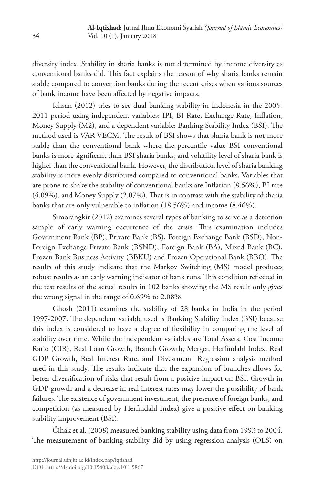diversity index. Stability in sharia banks is not determined by income diversity as conventional banks did. This fact explains the reason of why sharia banks remain stable compared to convention banks during the recent crises when various sources of bank income have been affected by negative impacts.

Ichsan (2012) tries to see dual banking stability in Indonesia in the 2005- 2011 period using independent variables: IPI, BI Rate, Exchange Rate, Inflation, Money Supply (M2), and a dependent variable: Banking Stability Index (BSI). The method used is VAR VECM. The result of BSI shows that sharia bank is not more stable than the conventional bank where the percentile value BSI conventional banks is more significant than BSI sharia banks, and volatility level of sharia bank is higher than the conventional bank. However, the distribution level of sharia banking stability is more evenly distributed compared to conventional banks. Variables that are prone to shake the stability of conventional banks are Inflation (8.56%), BI rate (4.09%), and Money Supply (2.07%). That is in contrast with the stability of sharia banks that are only vulnerable to inflation (18.56%) and income (8.46%).

Simorangkir (2012) examines several types of banking to serve as a detection sample of early warning occurrence of the crisis. This examination includes Government Bank (BP), Private Bank (BS), Foreign Exchange Bank (BSD), Non-Foreign Exchange Private Bank (BSND), Foreign Bank (BA), Mixed Bank (BC), Frozen Bank Business Activity (BBKU) and Frozen Operational Bank (BBO). The results of this study indicate that the Markov Switching (MS) model produces robust results as an early warning indicator of bank runs. This condition reflected in the test results of the actual results in 102 banks showing the MS result only gives the wrong signal in the range of 0.69% to 2.08%.

Ghosh (2011) examines the stability of 28 banks in India in the period 1997-2007. The dependent variable used is Banking Stability Index (BSI) because this index is considered to have a degree of flexibility in comparing the level of stability over time. While the independent variables are Total Assets, Cost Income Ratio (CIR), Real Loan Growth, Branch Growth, Merger, Herfindahl Index, Real GDP Growth, Real Interest Rate, and Divestment. Regression analysis method used in this study. The results indicate that the expansion of branches allows for better diversification of risks that result from a positive impact on BSI. Growth in GDP growth and a decrease in real interest rates may lower the possibility of bank failures. The existence of government investment, the presence of foreign banks, and competition (as measured by Herfindahl Index) give a positive effect on banking stability improvement (BSI).

Čihák et al. (2008) measured banking stability using data from 1993 to 2004. The measurement of banking stability did by using regression analysis (OLS) on

34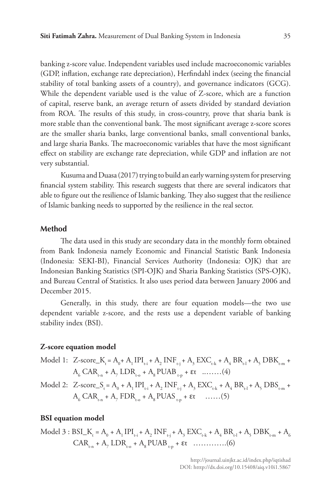banking z-score value. Independent variables used include macroeconomic variables (GDP, inflation, exchange rate depreciation), Herfindahl index (seeing the financial stability of total banking assets of a country), and governance indicators (GCG). While the dependent variable used is the value of Z-score, which are a function of capital, reserve bank, an average return of assets divided by standard deviation from ROA. The results of this study, in cross-country, prove that sharia bank is more stable than the conventional bank. The most significant average z-score scores are the smaller sharia banks, large conventional banks, small conventional banks, and large sharia Banks. The macroeconomic variables that have the most significant effect on stability are exchange rate depreciation, while GDP and inflation are not very substantial.

Kusuma and Duasa (2017) trying to build an early warning system for preserving financial system stability. This research suggests that there are several indicators that able to figure out the resilience of Islamic banking. They also suggest that the resilience of Islamic banking needs to supported by the resilience in the real sector.

#### **Method**

The data used in this study are secondary data in the monthly form obtained from Bank Indonesia namely Economic and Financial Statistic Bank Indonesia (Indonesia: SEKI-BI), Financial Services Authority (Indonesia: OJK) that are Indonesian Banking Statistics (SPI-OJK) and Sharia Banking Statistics (SPS-OJK), and Bureau Central of Statistics. It also uses period data between January 2006 and December 2015.

Generally, in this study, there are four equation models—the two use dependent variable z-score, and the rests use a dependent variable of banking stability index (BSI).

#### **Z-score equation model**

- Model 1: Z-score\_K<sub>t</sub> = A<sub>0</sub>+ A<sub>1</sub> IPI<sub>t-i</sub> + A<sub>2</sub> INF<sub>t-j</sub> + A<sub>3</sub> EXC<sub>t-k</sub> + A<sub>4</sub> BR<sub>t-l</sub> + A<sub>5</sub> DBK<sub>t-m</sub> +  $A_{6}$  CAR<sub>t-n</sub> +  $A_{7}$  LDR<sub>t-o</sub> +  $A_{8}$  PUAB<sub>t-p</sub> +  $\varepsilon$ t ........(4)
- Model 2: Z-score\_S<sub>t</sub> = A<sub>0</sub> + A<sub>1</sub> IPI<sub>t-i</sub> + A<sub>2</sub> INF<sub>t-j</sub> + A<sub>3</sub> EXC<sub>t-k</sub> + A<sub>4</sub> BR<sub>t-l</sub> + A<sub>5</sub> DBS<sub>t-m</sub> + A6 CARt-n + A7 FDRt-o + A8 PUAS t-p + εt ……(5)

#### **BSI equation model**

Model 3 : BSI<sub>-</sub>K<sub>r</sub> = A<sub>0</sub> + A<sub>1</sub> 
$$
IPI_{r,i}
$$
 + A<sub>2</sub>  $INF_{r,j}$  + A<sub>3</sub>  $EXC_{r,k}$  + A<sub>4</sub>  $BR_{r,l}$  + A<sub>5</sub>  $DBK_{r,m}$  + A<sub>6</sub>  $CAR_{r,n}$  + A<sub>7</sub>  $LDR_{r,o}$  + A<sub>8</sub>  $PUAB_{r,p}$  +  $\epsilon t$  .........(6)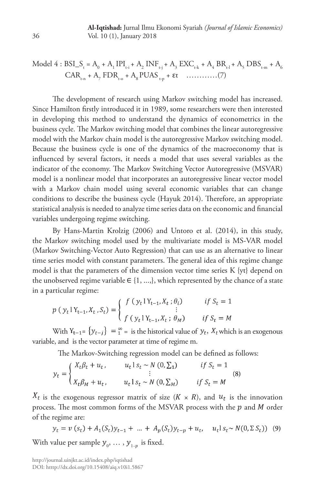Model 4 : BSI<sub>-</sub>S<sub>t</sub> = A<sub>0</sub> + A<sub>1</sub> 
$$
IPI_{t-i}
$$
 + A<sub>2</sub>  $INF_{t-j}$  + A<sub>3</sub>  $EXC_{t-k}$  + A<sub>4</sub>  $BR_{t-1}$  + A<sub>5</sub>  $DBS_{t-m}$  + A<sub>6</sub>  
CAR<sub>t-n</sub> + A<sub>7</sub>  $FDR_{t-o}$  + A<sub>8</sub>  $PUAS_{t-p}$  +  $\epsilon t$  .........(7)

The development of research using Markov switching model has increased. Since Hamilton firstly introduced it in 1989, some researchers were then interested in developing this method to understand the dynamics of econometrics in the business cycle. The Markov switching model that combines the linear autoregressive model with the Markov chain model is the autoregressive Markov switching model. Because the business cycle is one of the dynamics of the macroeconomy that is influenced by several factors, it needs a model that uses several variables as the indicator of the economy. The Markov Switching Vector Autoregressive (MSVAR) model is a nonlinear model that incorporates an autoregressive linear vector model with a Markov chain model using several economic variables that can change conditions to describe the business cycle (Hayuk 2014). Therefore, an appropriate statistical analysis is needed to analyze time series data on the economic and financial variables undergoing regime switching.

By Hans-Martin Krolzig (2006) and Untoro et al. (2014), in this study, the Markov switching model used by the multivariate model is MS-VAR model (Markov Switching-Vector Auto Regression) that can use as an alternative to linear time series model with constant parameters. The general idea of this regime change model is that the parameters of the dimension vector time series K {yt} depend on the unobserved regime variable  $\in \{1, ..., \}$ , which represented by the chance of a state in a particular regime:

$$
p(y_t | Y_{t-1}, X_t, S_t) = \begin{cases} f(y_t | Y_{t-1}, X_t; \theta_i) & \text{if } S_t = 1 \\ f(y_t | Y_{t-1}, X_t; \theta_M) & \text{if } S_t = M \end{cases}
$$

With  $Y_{t-1} = \{y_{t-i}\}\ = \frac{\infty}{1}$  = is the historical value of  $y_t$ ,  $X_t$  which is an exogenous variable, and is the vector parameter at time of regime m.

The Markov-Switching regression model can be defined as follows:

$$
y_t = \begin{cases} X_t \beta_t + u_t, & u_t \, 1 \, s_t \sim N(0, \Sigma_1) & \text{if } S_t = 1 \\ \vdots & \vdots \\ X_t \beta_M + u_t, & u_t \, 1 \, s_t \sim N(0, \Sigma_M) & \text{if } S_t = M \end{cases} \tag{8}
$$

 $X_t$  is the exogenous regressor matrix of size  $(K \times R)$ , and  $u_t$  is the innovation process. The most common forms of the MSVAR process with the  $p$  and  $M$  order of the regime are:

$$
y_t = v(s_t) + A_1(S_t)y_{t-1} + \dots + A_p(S_t)y_{t-p} + u_t, \quad u_t s_t \sim N(0, \Sigma S_t)
$$
 (9)

With value per sample  $y_{_0}, \, \dots \, , y_{_{1-p}}$  is fixed.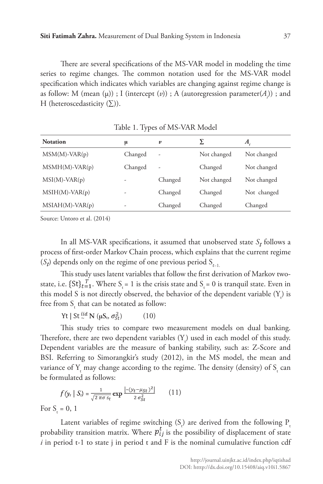There are several specifications of the MS-VAR model in modeling the time series to regime changes. The common notation used for the MS-VAR model specification which indicates which variables are changing against regime change is as follow: M (mean (µ)) ; I (intercept (*v*)) ; A (autoregression parameter(*A<sub>i</sub>*)) ; and H (heteroscedasticity  $(\Sigma)$ ).

| <b>Notation</b>  | μ       | $\boldsymbol{v}$ |             | A.          |
|------------------|---------|------------------|-------------|-------------|
| $MSM(M)-VAR(p)$  | Changed | ۰                | Not changed | Not changed |
| $MSMH(M)-VAR(p)$ | Changed | ٠                | Changed     | Not changed |
| $MSI(M)-VAR(p)$  | ۰       | Changed          | Not changed | Not changed |
| $MSIH(M)-VAR(p)$ | -       | Changed          | Changed     | Not changed |
| MSIAH(M)-VAR(p)  | -       | Changed          | Changed     | Changed     |

Table 1. Types of MS-VAR Model

Source: Untoro et al. (2014)

In all MS-VAR specifications, it assumed that unobserved state  $S_t$  follows a process of first-order Markov Chain process, which explains that the current regime (*S<sub>t</sub>*) depends only on the regime of one previous period S<sub>t-1</sub>.

This study uses latent variables that follow the first derivation of Markov twostate, i.e.  $\{St\}_{t=1}^L$ . Where  $S_t = 1$  is the crisis state and  $S_t = 0$  is tranquil state. Even in this model S is not directly observed, the behavior of the dependent variable  $(Y_{t})$  is free from S<sub>.</sub> that can be notated as follow:

Yt | St  $^{iid}_{\sim}$  N ( $\mu S_t$ ,  $\sigma_{St}^2$ ) (10)

This study tries to compare two measurement models on dual banking. Therefore, there are two dependent variables  $(Y_{t})$  used in each model of this study. Dependent variables are the measure of banking stability, such as: Z-Score and BSI. Referring to Simorangkir's study (2012), in the MS model, the mean and variance of  $Y_{t}$  may change according to the regime. The density (density) of  $S_{t}$  can be formulated as follows:

$$
f(y_t \mid S_t) = \frac{1}{\sqrt{2 \pi \sigma s_t}} \exp \frac{\left[ - (y_t - \mu_{St})^2 \right]}{2 \sigma_{St}^2} \qquad (11)
$$

For  $S_t = 0, 1$ 

Latent variables of regime switching  $(S_t)$  are derived from the following  $P_t$ probability transition matrix. Where  $p_{ij}^t$  is the possibility of displacement of state  $i$  in period t-1 to state  $j$  in period t and  $F$  is the nominal cumulative function cdf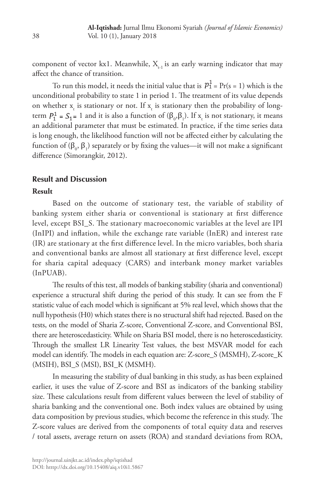component of vector kx1. Meanwhile,  $X_{t-1}$  is an early warning indicator that may affect the chance of transition.

To run this model, it needs the initial value that is  $p_1^1 = Pr(s = 1)$  which is the unconditional probability to state 1 in period 1. The treatment of its value depends on whether  $x_{t}$  is stationary or not. If  $x_{t}$  is stationary then the probability of longterm  $P_1^1 = S_1 = 1$  and it is also a function of  $(\beta_0, \beta_1)$ . If  $x_t$  is not stationary, it means an additional parameter that must be estimated. In practice, if the time series data is long enough, the likelihood function will not be affected either by calculating the function of ( $\beta_0$ ,  $\beta_1$ ) separately or by fixing the values—it will not make a significant difference (Simorangkir, 2012).

# **Result and Discussion**

#### **Result**

Based on the outcome of stationary test, the variable of stability of banking system either sharia or conventional is stationary at first difference level, except BSI\_S. The stationary macroeconomic variables at the level are IPI (InIPI) and inflation, while the exchange rate variable (InER) and interest rate (IR) are stationary at the first difference level. In the micro variables, both sharia and conventional banks are almost all stationary at first difference level, except for sharia capital adequacy (CARS) and interbank money market variables (InPUAB).

The results of this test, all models of banking stability (sharia and conventional) experience a structural shift during the period of this study. It can see from the F statistic value of each model which is significant at 5% real level, which shows that the null hypothesis (H0) which states there is no structural shift had rejected. Based on the tests, on the model of Sharia Z-score, Conventional Z-score, and Conventional BSI, there are heteroscedasticity. While on Sharia BSI model, there is no heteroscedasticity. Through the smallest LR Linearity Test values, the best MSVAR model for each model can identify. The models in each equation are: Z-score\_S (MSMH), Z-score\_K (MSIH), BSI\_S (MSI), BSI\_K (MSMH).

In measuring the stability of dual banking in this study, as has been explained earlier, it uses the value of Z-score and BSI as indicators of the banking stability size. These calculations result from different values between the level of stability of sharia banking and the conventional one. Both index values are obtained by using data composition by previous studies, which become the reference in this study. The Z-score values are derived from the components of total equity data and reserves / total assets, average return on assets (ROA) and standard deviations from ROA,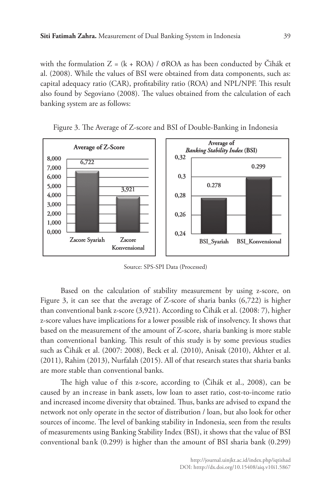with the formulation  $Z = (k + ROA) / \sigma ROA$  as has been conducted by Cihák et al. (2008). While the values of BSI were obtained from data components, such as: capital adequacy ratio (CAR), profitability ratio (ROA) and NPL/NPF. This result also found by Segoviano (2008). The values obtained from the calculation of each banking system are as follows:



Figure 3. The Average of Z-score and BSI of Double-Banking in Indonesia

Source: SPS-SPI Data (Processed)

Based on the calculation of stability measurement by using z-score, on Figure 3, it can see that the average of Z-score of sharia banks (6,722) is higher than conventional bank z-score (3,921). According to Čihák et al. (2008: 7), higher z-score values have implications for a lower possible risk of insolvency. It shows that based on the measurement of the amount of Z-score, sharia banking is more stable than conventional banking. This result of this study is by some previous studies such as Čihák et al. (2007: 2008), Beck et al. (2010), Anisak (2010), Akhter et al. (2011), Rahim (2013), Nurfalah (2015). All of that research states that sharia banks are more stable than conventional banks.

The high value of this z-score, according to (Cihák et al., 2008), can be caused by an increase in bank assets, low loan to asset ratio, cost-to-income ratio and increased income diversity that obtained. Thus, banks are advised to expand the network not only operate in the sector of distribution / loan, but also look for other sources of income. The level of banking stability in Indonesia, seen from the results of measurements using Banking Stability Index (BSI), it shows that the value of BSI conventional bank (0.299) is higher than the amount of BSI sharia bank (0.299)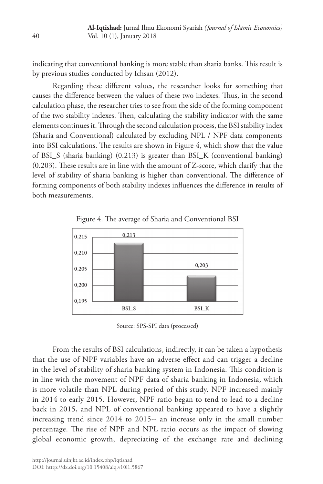indicating that conventional banking is more stable than sharia banks. This result is by previous studies conducted by Ichsan (2012).

Regarding these different values, the researcher looks for something that causes the difference between the values of these two indexes. Thus, in the second calculation phase, the researcher tries to see from the side of the forming component of the two stability indexes. Then, calculating the stability indicator with the same elements continues it. Through the second calculation process, the BSI stability index (Sharia and Conventional) calculated by excluding NPL / NPF data components into BSI calculations. The results are shown in Figure 4, which show that the value of BSI\_S (sharia banking) (0.213) is greater than BSI\_K (conventional banking) (0.203). These results are in line with the amount of Z-score, which clarify that the level of stability of sharia banking is higher than conventional. The difference of forming components of both stability indexes influences the difference in results of both measurements.



Figure 4. The average of Sharia and Conventional BSI

Source: SPS-SPI data (processed)

From the results of BSI calculations, indirectly, it can be taken a hypothesis that the use of NPF variables have an adverse effect and can trigger a decline in the level of stability of sharia banking system in Indonesia. This condition is in line with the movement of NPF data of sharia banking in Indonesia, which is more volatile than NPL during period of this study. NPF increased mainly in 2014 to early 2015. However, NPF ratio began to tend to lead to a decline back in 2015, and NPL of conventional banking appeared to have a slightly increasing trend since 2014 to 2015-- an increase only in the small number percentage. The rise of NPF and NPL ratio occurs as the impact of slowing global economic growth, depreciating of the exchange rate and declining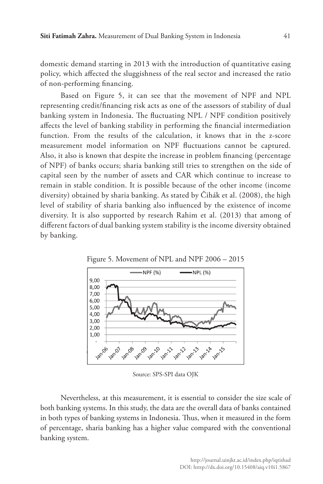domestic demand starting in 2013 with the introduction of quantitative easing policy, which affected the sluggishness of the real sector and increased the ratio of non-performing financing.

Based on Figure 5, it can see that the movement of NPF and NPL representing credit/financing risk acts as one of the assessors of stability of dual banking system in Indonesia. The fluctuating NPL / NPF condition positively affects the level of banking stability in performing the financial intermediation function. From the results of the calculation, it knows that in the z-score measurement model information on NPF fluctuations cannot be captured. Also, it also is known that despite the increase in problem financing (percentage of NPF) of banks occurs; sharia banking still tries to strengthen on the side of capital seen by the number of assets and CAR which continue to increase to remain in stable condition. It is possible because of the other income (income diversity) obtained by sharia banking. As stated by Čihák et al. (2008), the high level of stability of sharia banking also influenced by the existence of income diversity. It is also supported by research Rahim et al. (2013) that among of different factors of dual banking system stability is the income diversity obtained by banking.



Figure 5. Movement of NPL and NPF 2006 – 2015

Source: SPS-SPI data OJK

Nevertheless, at this measurement, it is essential to consider the size scale of both banking systems. In this study, the data are the overall data of banks contained in both types of banking systems in Indonesia. Thus, when it measured in the form of percentage, sharia banking has a higher value compared with the conventional banking system.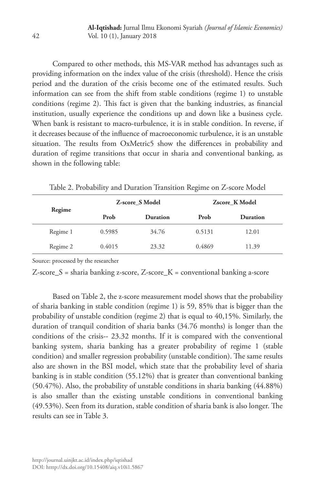Compared to other methods, this MS-VAR method has advantages such as providing information on the index value of the crisis (threshold). Hence the crisis period and the duration of the crisis become one of the estimated results. Such information can see from the shift from stable conditions (regime 1) to unstable conditions (regime 2). This fact is given that the banking industries, as financial institution, usually experience the conditions up and down like a business cycle. When bank is resistant to macro-turbulence, it is in stable condition. In reverse, if it decreases because of the influence of macroeconomic turbulence, it is an unstable situation. The results from OxMetric5 show the differences in probability and duration of regime transitions that occur in sharia and conventional banking, as shown in the following table:

|          |        | Z-score S Model | Zscore K Model |                 |  |
|----------|--------|-----------------|----------------|-----------------|--|
| Regime   | Prob   | <b>Duration</b> | Prob           | <b>Duration</b> |  |
| Regime 1 | 0.5985 | 34.76           | 0.5131         | 12.01           |  |
| Regime 2 | 0.4015 | 23.32           | 0.4869         | 11.39           |  |

Table 2. Probability and Duration Transition Regime on Z-score Model

Source: processed by the researcher

Z-score\_S = sharia banking z-score, Z-score\_K = conventional banking a-score

Based on Table 2, the z-score measurement model shows that the probability of sharia banking in stable condition (regime 1) is 59, 85% that is bigger than the probability of unstable condition (regime 2) that is equal to 40,15%. Similarly, the duration of tranquil condition of sharia banks (34.76 months) is longer than the conditions of the crisis-- 23.32 months. If it is compared with the conventional banking system, sharia banking has a greater probability of regime 1 (stable condition) and smaller regression probability (unstable condition). The same results also are shown in the BSI model, which state that the probability level of sharia banking is in stable condition (55.12%) that is greater than conventional banking (50.47%). Also, the probability of unstable conditions in sharia banking (44.88%) is also smaller than the existing unstable conditions in conventional banking (49.53%). Seen from its duration, stable condition of sharia bank is also longer. The results can see in Table 3.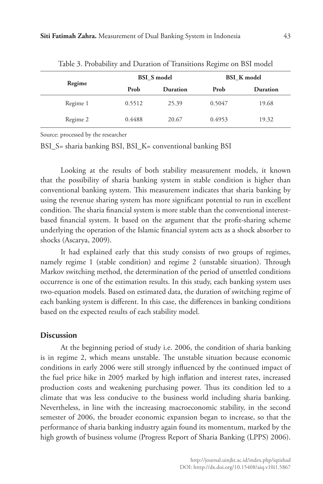|          |        | <b>BSI</b> S model | <b>BSI</b> K model |          |  |  |
|----------|--------|--------------------|--------------------|----------|--|--|
| Regime   | Prob   | Duration           | Prob               | Duration |  |  |
| Regime 1 | 0.5512 | 25.39              | 0.5047             | 19.68    |  |  |
| Regime 2 | 0.4488 | 20.67              | 0.4953             | 19.32    |  |  |

Table 3. Probability and Duration of Transitions Regime on BSI model

Source: processed by the researcher

BSI\_S= sharia banking BSI, BSI\_K= conventional banking BSI

Looking at the results of both stability measurement models, it known that the possibility of sharia banking system in stable condition is higher than conventional banking system. This measurement indicates that sharia banking by using the revenue sharing system has more significant potential to run in excellent condition. The sharia financial system is more stable than the conventional interestbased financial system. It based on the argument that the profit-sharing scheme underlying the operation of the Islamic financial system acts as a shock absorber to shocks (Ascarya, 2009).

It had explained early that this study consists of two groups of regimes, namely regime 1 (stable condition) and regime 2 (unstable situation). Through Markov switching method, the determination of the period of unsettled conditions occurrence is one of the estimation results. In this study, each banking system uses two-equation models. Based on estimated data, the duration of switching regime of each banking system is different. In this case, the differences in banking conditions based on the expected results of each stability model.

#### **Discussion**

At the beginning period of study i.e. 2006, the condition of sharia banking is in regime 2, which means unstable. The unstable situation because economic conditions in early 2006 were still strongly influenced by the continued impact of the fuel price hike in 2005 marked by high inflation and interest rates, increased production costs and weakening purchasing power. Thus its condition led to a climate that was less conducive to the business world including sharia banking. Nevertheless, in line with the increasing macroeconomic stability, in the second semester of 2006, the broader economic expansion began to increase, so that the performance of sharia banking industry again found its momentum, marked by the high growth of business volume (Progress Report of Sharia Banking (LPPS) 2006).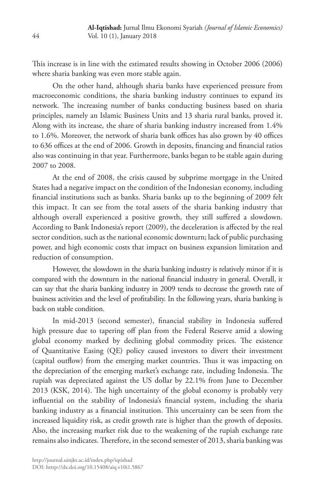This increase is in line with the estimated results showing in October 2006 (2006) where sharia banking was even more stable again.

On the other hand, although sharia banks have experienced pressure from macroeconomic conditions, the sharia banking industry continues to expand its network. The increasing number of banks conducting business based on sharia principles, namely an Islamic Business Units and 13 sharia rural banks, proved it. Along with its increase, the share of sharia banking industry increased from 1.4% to 1.6%. Moreover, the network of sharia bank offices has also grown by 40 offices to 636 offices at the end of 2006. Growth in deposits, financing and financial ratios also was continuing in that year. Furthermore, banks began to be stable again during 2007 to 2008.

At the end of 2008, the crisis caused by subprime mortgage in the United States had a negative impact on the condition of the Indonesian economy, including financial institutions such as banks. Sharia banks up to the beginning of 2009 felt this impact. It can see from the total assets of the sharia banking industry that although overall experienced a positive growth, they still suffered a slowdown. According to Bank Indonesia's report (2009), the deceleration is affected by the real sector condition, such as the national economic downturn; lack of public purchasing power, and high economic costs that impact on business expansion limitation and reduction of consumption.

However, the slowdown in the sharia banking industry is relatively minor if it is compared with the downturn in the national financial industry in general. Overall, it can say that the sharia banking industry in 2009 tends to decrease the growth rate of business activities and the level of profitability. In the following years, sharia banking is back on stable condition.

In mid-2013 (second semester), financial stability in Indonesia suffered high pressure due to tapering off plan from the Federal Reserve amid a slowing global economy marked by declining global commodity prices. The existence of Quantitative Easing (QE) policy caused investors to divert their investment (capital outflow) from the emerging market countries. Thus it was impacting on the depreciation of the emerging market's exchange rate, including Indonesia. The rupiah was depreciated against the US dollar by 22.1% from June to December 2013 (KSK, 2014). The high uncertainty of the global economy is probably very influential on the stability of Indonesia's financial system, including the sharia banking industry as a financial institution. This uncertainty can be seen from the increased liquidity risk, as credit growth rate is higher than the growth of deposits. Also, the increasing market risk due to the weakening of the rupiah exchange rate remains also indicates. Therefore, in the second semester of 2013, sharia banking was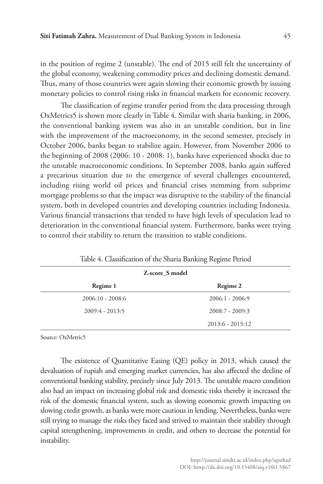in the position of regime 2 (unstable). The end of 2015 still felt the uncertainty of the global economy, weakening commodity prices and declining domestic demand. Thus, many of those countries were again slowing their economic growth by issuing monetary policies to control rising risks in financial markets for economic recovery.

The classification of regime transfer period from the data processing through OxMetrics5 is shown more clearly in Table 4. Similar with sharia banking, in 2006, the conventional banking system was also in an unstable condition, but in line with the improvement of the macroeconomy, in the second semester, precisely in October 2006, banks began to stabilize again. However, from November 2006 to the beginning of 2008 (2006: 10 - 2008: 1), banks have experienced shocks due to the unstable macroeconomic conditions. In September 2008, banks again suffered a precarious situation due to the emergence of several challenges encountered, including rising world oil prices and financial crises stemming from subprime mortgage problems so that the impact was disruptive to the stability of the financial system, both in developed countries and developing countries including Indonesia. Various financial transactions that tended to have high levels of speculation lead to deterioration in the conventional financial system. Furthermore, banks were trying to control their stability to return the transition to stable conditions.

| Z-score S model    |                    |  |  |  |  |
|--------------------|--------------------|--|--|--|--|
| Regime 1           | Regime 2           |  |  |  |  |
| $2006:10 - 2008:6$ | $2006:1 - 2006:9$  |  |  |  |  |
| $2009:4 - 2013:5$  | $2008:7 - 2009:3$  |  |  |  |  |
|                    | $2013:6 - 2015:12$ |  |  |  |  |

Table 4. Classification of the Sharia Banking Regime Period

Source: OxMetric5

The existence of Quantitative Easing (QE) policy in 2013, which caused the devaluation of rupiah and emerging market currencies, has also affected the decline of conventional banking stability, precisely since July 2013. The unstable macro condition also had an impact on increasing global risk and domestic risks thereby it increased the risk of the domestic financial system, such as slowing economic growth impacting on slowing credit growth, as banks were more cautious in lending. Nevertheless, banks were still trying to manage the risks they faced and strived to maintain their stability through capital strengthening, improvements in credit, and others to decrease the potential for instability.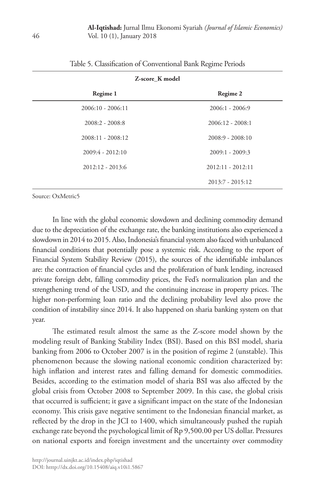| Z-score K model     |                     |  |  |  |  |  |
|---------------------|---------------------|--|--|--|--|--|
| Regime 1            | Regime 2            |  |  |  |  |  |
| $2006:10 - 2006:11$ | $2006:1 - 2006:9$   |  |  |  |  |  |
| $2008:2 - 2008:8$   | $2006:12 - 2008:1$  |  |  |  |  |  |
| $2008:11 - 2008:12$ | $2008:9 - 2008:10$  |  |  |  |  |  |
| $2009:4 - 2012:10$  | $2009:1 - 2009:3$   |  |  |  |  |  |
| $2012:12 - 2013:6$  | $2012:11 - 2012:11$ |  |  |  |  |  |
|                     | $2013:7 - 2015:12$  |  |  |  |  |  |

| Table 5. Classification of Conventional Bank Regime Periods |  |  |  |
|-------------------------------------------------------------|--|--|--|
|-------------------------------------------------------------|--|--|--|

Source: OxMetric5

In line with the global economic slowdown and declining commodity demand due to the depreciation of the exchange rate, the banking institutions also experienced a slowdown in 2014 to 2015. Also, Indonesia's financial system also faced with unbalanced financial conditions that potentially pose a systemic risk. According to the report of Financial System Stability Review (2015), the sources of the identifiable imbalances are: the contraction of financial cycles and the proliferation of bank lending, increased private foreign debt, falling commodity prices, the Fed's normalization plan and the strengthening trend of the USD, and the continuing increase in property prices. The higher non-performing loan ratio and the declining probability level also prove the condition of instability since 2014. It also happened on sharia banking system on that year.

The estimated result almost the same as the Z-score model shown by the modeling result of Banking Stability Index (BSI). Based on this BSI model, sharia banking from 2006 to October 2007 is in the position of regime 2 (unstable). This phenomenon because the slowing national economic condition characterized by: high inflation and interest rates and falling demand for domestic commodities. Besides, according to the estimation model of sharia BSI was also affected by the global crisis from October 2008 to September 2009. In this case, the global crisis that occurred is sufficient; it gave a significant impact on the state of the Indonesian economy. This crisis gave negative sentiment to the Indonesian financial market, as reflected by the drop in the JCI to 1400, which simultaneously pushed the rupiah exchange rate beyond the psychological limit of Rp 9,500.00 per US dollar. Pressures on national exports and foreign investment and the uncertainty over commodity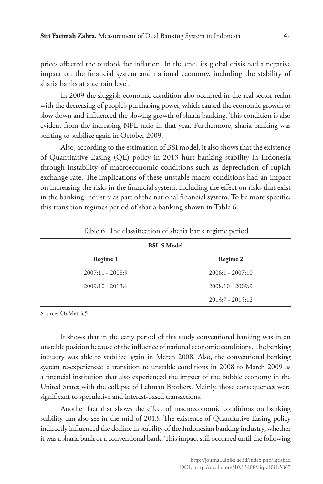prices affected the outlook for inflation. In the end, its global crisis had a negative impact on the financial system and national economy, including the stability of sharia banks at a certain level.

In 2009 the sluggish economic condition also occurred in the real sector realm with the decreasing of people's purchasing power, which caused the economic growth to slow down and influenced the slowing growth of sharia banking. This condition is also evident from the increasing NPL ratio in that year. Furthermore, sharia banking was starting to stabilize again in October 2009.

Also, according to the estimation of BSI model, it also shows that the existence of Quantitative Easing (QE) policy in 2013 hurt banking stability in Indonesia through instability of macroeconomic conditions such as depreciation of rupiah exchange rate. The implications of these unstable macro conditions had an impact on increasing the risks in the financial system, including the effect on risks that exist in the banking industry as part of the national financial system. To be more specific, this transition regimes period of sharia banking shown in Table 6.

| <b>BSI S Model</b> |                    |  |  |  |  |
|--------------------|--------------------|--|--|--|--|
| Regime 1           | Regime 2           |  |  |  |  |
| $2007:11 - 2008:9$ | $2006:1 - 2007:10$ |  |  |  |  |
| $2009:10 - 2013:6$ | $2008:10 - 2009:9$ |  |  |  |  |
|                    | $2013:7 - 2015:12$ |  |  |  |  |

|  |  |  |  |  |  | Table 6. The classification of sharia bank regime period |  |
|--|--|--|--|--|--|----------------------------------------------------------|--|
|  |  |  |  |  |  |                                                          |  |
|  |  |  |  |  |  |                                                          |  |

Source: OxMetric5

It shows that in the early period of this study conventional banking was in an unstable position because of the influence of national economic conditions. The banking industry was able to stabilize again in March 2008. Also, the conventional banking system re-experienced a transition to unstable conditions in 2008 to March 2009 as a financial institution that also experienced the impact of the bubble economy in the United States with the collapse of Lehman Brothers. Mainly, those consequences were significant to speculative and interest-based transactions.

Another fact that shows the effect of macroeconomic conditions on banking stability can also see in the mid of 2013. The existence of Quantitative Easing policy indirectly influenced the decline in stability of the Indonesian banking industry, whether it was a sharia bank or a conventional bank. This impact still occurred until the following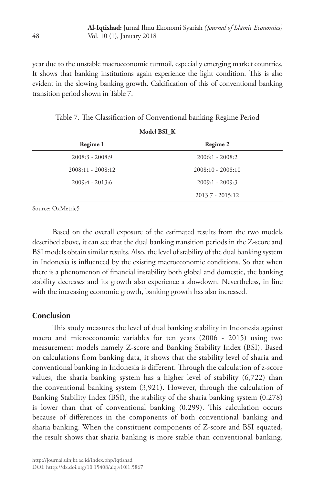year due to the unstable macroeconomic turmoil, especially emerging market countries. It shows that banking institutions again experience the light condition. This is also evident in the slowing banking growth. Calcification of this of conventional banking transition period shown in Table 7.

| Model BSI K         |                     |  |  |  |  |
|---------------------|---------------------|--|--|--|--|
| Regime 1            | Regime 2            |  |  |  |  |
| $2008:3 - 2008:9$   | $2006:1 - 2008:2$   |  |  |  |  |
| $2008:11 - 2008:12$ | $2008:10 - 2008:10$ |  |  |  |  |
| $2009:4 - 2013:6$   | $2009:1 - 2009:3$   |  |  |  |  |
|                     | $2013:7 - 2015:12$  |  |  |  |  |

Table 7. The Classification of Conventional banking Regime Period

Source: OxMetric5

Based on the overall exposure of the estimated results from the two models described above, it can see that the dual banking transition periods in the Z-score and BSI models obtain similar results. Also, the level of stability of the dual banking system in Indonesia is influenced by the existing macroeconomic conditions. So that when there is a phenomenon of financial instability both global and domestic, the banking stability decreases and its growth also experience a slowdown. Nevertheless, in line with the increasing economic growth, banking growth has also increased.

### **Conclusion**

This study measures the level of dual banking stability in Indonesia against macro and microeconomic variables for ten years (2006 - 2015) using two measurement models namely Z-score and Banking Stability Index (BSI). Based on calculations from banking data, it shows that the stability level of sharia and conventional banking in Indonesia is different. Through the calculation of z-score values, the sharia banking system has a higher level of stability (6,722) than the conventional banking system (3,921). However, through the calculation of Banking Stability Index (BSI), the stability of the sharia banking system (0.278) is lower than that of conventional banking (0.299). This calculation occurs because of differences in the components of both conventional banking and sharia banking. When the constituent components of Z-score and BSI equated, the result shows that sharia banking is more stable than conventional banking.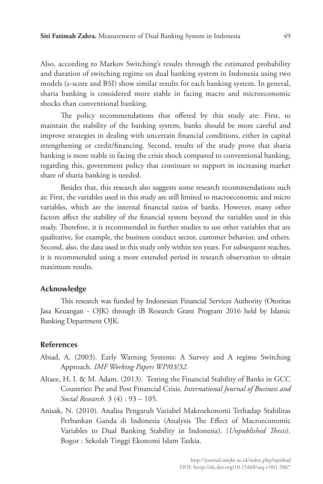Also, according to Markov Switching's results through the estimated probability and duration of switching regime on dual banking system in Indonesia using two models (z-score and BSI) show similar results for each banking system. In general, sharia banking is considered more stable in facing macro and microeconomic shocks than conventional banking.

The policy recommendations that offered by this study are: First, to maintain the stability of the banking system, banks should be more careful and improve strategies in dealing with uncertain financial conditions, either in capital strengthening or credit/financing. Second, results of the study prove that sharia banking is more stable in facing the crisis shock compared to conventional banking, regarding this, government policy that continues to support in increasing market share of sharia banking is needed.

Besides that, this research also suggests some research recommendations such as: First, the variables used in this study are still limited to macroeconomic and micro variables, which are the internal financial ratios of banks. However, many other factors affect the stability of the financial system beyond the variables used in this study. Therefore, it is recommended in further studies to use other variables that are qualitative, for example, the business conduct sector, customer behavior, and others. Second, also, the data used in this study only within ten years. For subsequent reaches, it is recommended using a more extended period in research observation to obtain maximum results.

## **Acknowledge**

This research was funded by Indonesian Financial Services Authority (Otoritas Jasa Keuangan - OJK) through iB Research Grant Program 2016 held by Islamic Banking Department OJK.

#### **References**

- Abiad, A. (2003). Early Warning Systems: A Survey and A regime Switching Approach. *IMF Working Papers WP/03/32.*
- Altaee, H, I. & M. Adam. (2013). Testing the Financial Stability of Banks in GCC Countries: Pre and Post Financial Crisis. *International Journal of Business and Social Research.* 3 (4) : 93 – 105.
- Anisak, N. (2010). Analisa Pengaruh Variabel Makroekonomi Terhadap Stabilitas Perbankan Ganda di Indonesia (Analysis The Effect of Macroeconomic Variables to Dual Banking Stability in Indonesia). (*Unpublished Thesis*). Bogor : Sekolah Tinggi Ekonomi Islam Tazkia.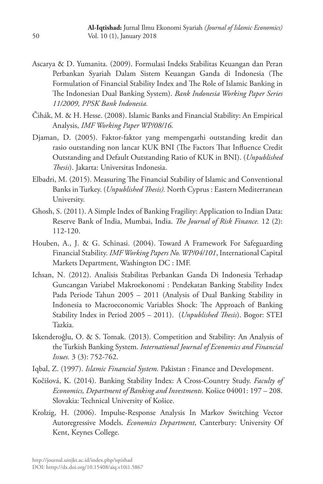- Ascarya & D. Yumanita. (2009). Formulasi Indeks Stabilitas Keuangan dan Peran Perbankan Syariah Dalam Sistem Keuangan Ganda di Indonesia (The Formulation of Financial Stability Index and The Role of Islamic Banking in The Indonesian Dual Banking System). *Bank Indonesia Working Paper Series 11/2009, PPSK Bank Indonesia.*
- Čihák, M. & H. Hesse. (2008). Islamic Banks and Financial Stability: An Empirical Analysis, *IMF Working Paper WP/08/16*.
- Djaman, D. (2005). Faktor-faktor yang mempengarhi outstanding kredit dan rasio outstanding non lancar KUK BNI (The Factors That Influence Credit Outstanding and Default Outstanding Ratio of KUK in BNI). (*Unpublished Thesis*). Jakarta: Universitas Indonesia.
- Elbadri, M. (2015). Measuring The Financial Stability of Islamic and Conventional Banks in Turkey. (*Unpublished Thesis).* North Cyprus : Eastern Mediterranean University.
- Ghosh, S. (2011). A Simple Index of Banking Fragility: Application to Indian Data: Reserve Bank of India, Mumbai, India. *The Journal of Risk Finance.* 12 (2): 112-120.
- Houben, A., J. & G. Schinasi. (2004). Toward A Framework For Safeguarding Financial Stability. *IMF Working Papers No. WP/04/101*, International Capital Markets Department, Washington DC : IMF.
- Ichsan, N. (2012). Analisis Stabilitas Perbankan Ganda Di Indonesia Terhadap Guncangan Variabel Makroekonomi : Pendekatan Banking Stability Index Pada Periode Tahun 2005 – 2011 (Analysis of Dual Banking Stability in Indonesia to Macroeconomic Variables Shock: The Approach of Banking Stability Index in Period 2005 – 2011). (*Unpublished Thesis*). Bogor: STEI Tazkia.
- Iskenderoğlu, O. & S. Tomak. (2013). Competition and Stability: An Analysis of the Turkish Banking System. *International Journal of Economics and Financial Issues.* 3 (3): 752-762.
- Iqbal, Z. (1997). *Islamic Financial System*. Pakistan : Finance and Development.
- Kočišová, K. (2014). Banking Stability Index: A Cross-Country Study. *Faculty of Economics, Department of Banking and Investments.* Košice 04001: 197 – 208. Slovakia: Technical University of Košice.
- Krolzig, H. (2006). Impulse-Response Analysis In Markov Switching Vector Autoregressive Models. *Economics Department*, Canterbury: University Of Kent, Keynes College.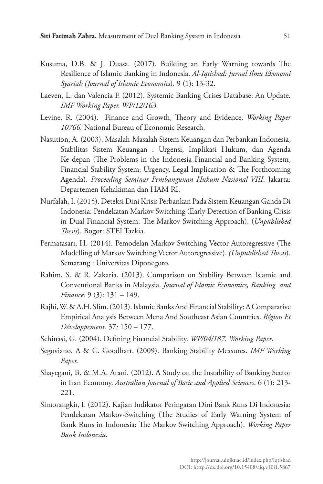- Kusuma, D.B. & J. Duasa. (2017). Building an Early Warning towards The Resilience of Islamic Banking in Indonesia. *Al-Iqtishad: Jurnal Ilmu Ekonomi Syariah (Journal of Islamic Economics*). 9 (1): 13-32.
- Laeven, L. dan Valencia F. (2012). Systemic Banking Crises Database: An Update. *IMF Working Paper. WP/12/163.*
- Levine, R. (2004). Finance and Growth, Theory and Evidence. *Working Paper 10766.* National Bureau of Economic Research.
- Nasution, A. (2003). Masalah-Masalah Sistem Keuangan dan Perbankan Indonesia, Stabilitas Sistem Keuangan : Urgensi, Implikasi Hukum, dan Agenda Ke depan (The Problems in the Indonesia Financial and Banking System, Financial Stability System: Urgency, Legal Implication & The Forthcoming Agenda). *Proceeding Seminar Pembangunan Hukum Nasional VIII*. Jakarta: Departemen Kehakiman dan HAM RI.
- Nurfalah, I. (2015). Deteksi Dini Krisis Perbankan Pada Sistem Keuangan Ganda Di Indonesia: Pendekatan Markov Switching (Early Detection of Banking Crisis in Dual Financial System: The Markov Switching Approach). (*Unpublished Thesis*). Bogor: STEI Tazkia.
- Permatasari, H. (2014). Pemodelan Markov Switching Vector Autoregressive (The Modelling of Markov Switching Vector Autoregressive). *(Unpublished Thesis*). Semarang : Universitas Diponegoro.
- Rahim, S. & R. Zakaria. (2013). Comparison on Stability Between Islamic and Conventional Banks in Malaysia. *Journal of Islamic Economics, Banking and Finance.* 9 (3): 131 – 149.
- Rajhi, W. & A.H. Slim. (2013). Islamic Banks And Financial Stability: A Comparative Empirical Analysis Between Mena And Southeast Asian Countries. *Région Et Développement.* 37*:* 150 – 177.
- Schinasi, G. (2004). Defining Financial Stability. *WP/04/187. Working Paper*.
- Segoviano, A & C. Goodhart. (2009). Banking Stability Measures. *IMF Working Paper.*
- Shayegani, B. & M.A. Arani. (2012). A Study on the Instability of Banking Sector in Iran Economy. *Australian Journal of Basic and Applied Sciences*. 6 (1): 213- 221.
- Simorangkir, I. (2012). Kajian Indikator Peringatan Dini Bank Runs Di Indonesia: Pendekatan Markov-Switching (The Studies of Early Warning System of Bank Runs in Indonesia: The Markov Switching Approach). *Working Paper Bank Indonesia*.